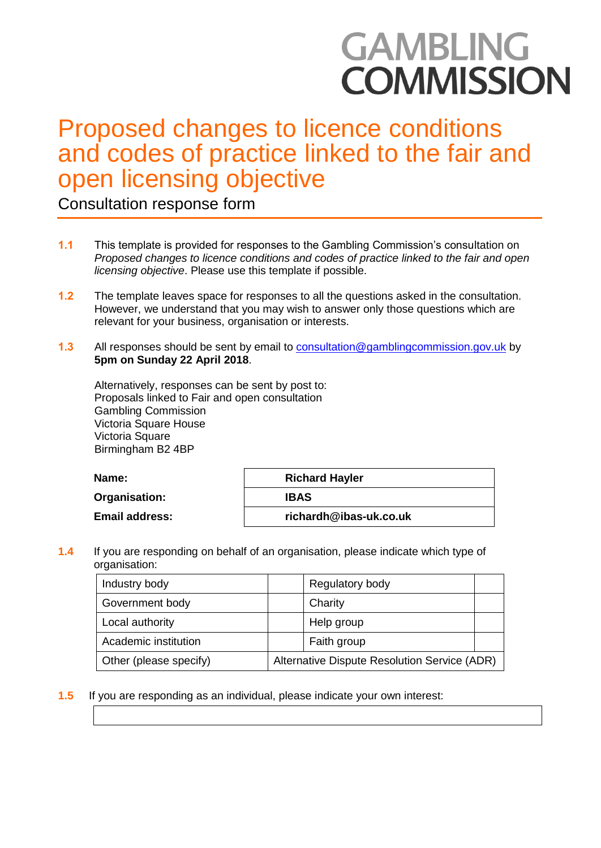# **GAMBLING COMMISSION**

# Proposed changes to licence conditions and codes of practice linked to the fair and open licensing objective

Consultation response form

- **1.1** This template is provided for responses to the Gambling Commission's consultation on *Proposed changes to licence conditions and codes of practice linked to the fair and open licensing objective*. Please use this template if possible.
- **1.2** The template leaves space for responses to all the questions asked in the consultation. However, we understand that you may wish to answer only those questions which are relevant for your business, organisation or interests.
- **1.3** All responses should be sent by email to [consultation@gamblingcommission.gov.uk](mailto:consultation@gamblingcommission.gov.uk) by **5pm on Sunday 22 April 2018**.

Alternatively, responses can be sent by post to: Proposals linked to Fair and open consultation Gambling Commission Victoria Square House Victoria Square Birmingham B2 4BP

| <b>Name:</b>          | <b>Richard Hayler</b>  |
|-----------------------|------------------------|
| Organisation:         | <b>IBAS</b>            |
| <b>Email address:</b> | richardh@ibas-uk.co.uk |

**1.4** If you are responding on behalf of an organisation, please indicate which type of organisation:

| Industry body          | Regulatory body                              |  |  |
|------------------------|----------------------------------------------|--|--|
| Government body        | Charity                                      |  |  |
| Local authority        | Help group                                   |  |  |
| Academic institution   | Faith group                                  |  |  |
| Other (please specify) | Alternative Dispute Resolution Service (ADR) |  |  |

**1.5** If you are responding as an individual, please indicate your own interest: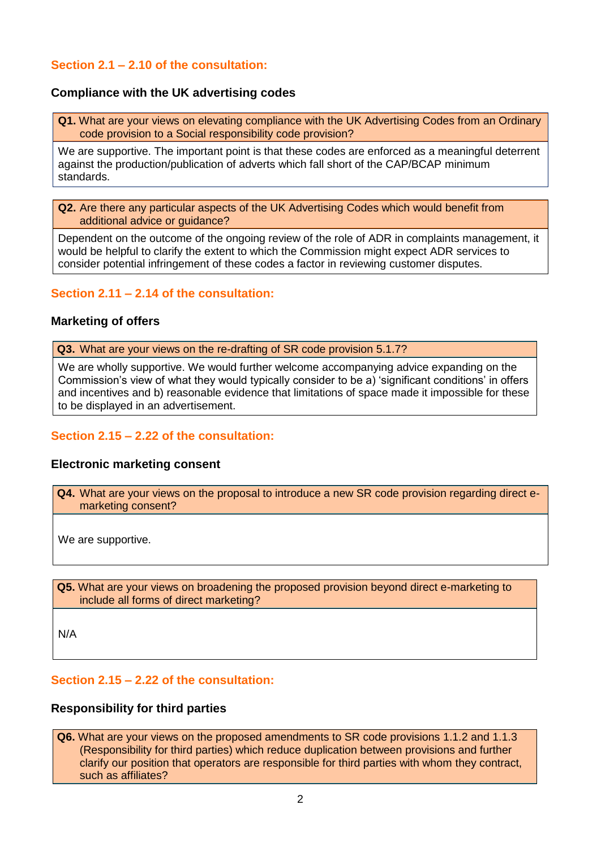# **Section 2.1 – 2.10 of the consultation:**

#### **Compliance with the UK advertising codes**

**Q1.** What are your views on elevating compliance with the UK Advertising Codes from an Ordinary code provision to a Social responsibility code provision?

We are supportive. The important point is that these codes are enforced as a meaningful deterrent against the production/publication of adverts which fall short of the CAP/BCAP minimum standards.

**Q2.** Are there any particular aspects of the UK Advertising Codes which would benefit from additional advice or guidance?

Dependent on the outcome of the ongoing review of the role of ADR in complaints management, it would be helpful to clarify the extent to which the Commission might expect ADR services to consider potential infringement of these codes a factor in reviewing customer disputes.

## **Section 2.11 – 2.14 of the consultation:**

#### **Marketing of offers**

 **Q3.** What are your views on the re-drafting of SR code provision 5.1.7?

We are wholly supportive. We would further welcome accompanying advice expanding on the Commission's view of what they would typically consider to be a) 'significant conditions' in offers and incentives and b) reasonable evidence that limitations of space made it impossible for these to be displayed in an advertisement.

# **Section 2.15 – 2.22 of the consultation:**

#### **Electronic marketing consent**

 **Q4.** What are your views on the proposal to introduce a new SR code provision regarding direct emarketing consent?

We are supportive.

 **Q5.** What are your views on broadening the proposed provision beyond direct e-marketing to include all forms of direct marketing?

N/A

#### **Section 2.15 – 2.22 of the consultation:**

#### **Responsibility for third parties**

 **Q6.** What are your views on the proposed amendments to SR code provisions 1.1.2 and 1.1.3 (Responsibility for third parties) which reduce duplication between provisions and further clarify our position that operators are responsible for third parties with whom they contract, such as affiliates?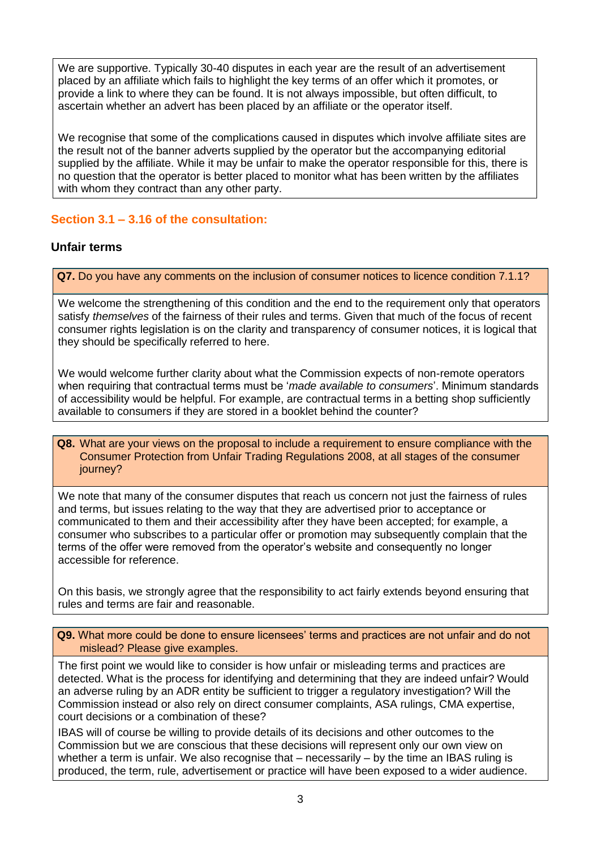We are supportive. Typically 30-40 disputes in each year are the result of an advertisement placed by an affiliate which fails to highlight the key terms of an offer which it promotes, or provide a link to where they can be found. It is not always impossible, but often difficult, to ascertain whether an advert has been placed by an affiliate or the operator itself.

We recognise that some of the complications caused in disputes which involve affiliate sites are the result not of the banner adverts supplied by the operator but the accompanying editorial supplied by the affiliate. While it may be unfair to make the operator responsible for this, there is no question that the operator is better placed to monitor what has been written by the affiliates with whom they contract than any other party.

# **Section 3.1 – 3.16 of the consultation:**

# **Unfair terms**

I

I

 **Q7.** Do you have any comments on the inclusion of consumer notices to licence condition 7.1.1?

We welcome the strengthening of this condition and the end to the requirement only that operators satisfy *themselves* of the fairness of their rules and terms. Given that much of the focus of recent consumer rights legislation is on the clarity and transparency of consumer notices, it is logical that they should be specifically referred to here.

We would welcome further clarity about what the Commission expects of non-remote operators when requiring that contractual terms must be '*made available to consumers*'. Minimum standards of accessibility would be helpful. For example, are contractual terms in a betting shop sufficiently available to consumers if they are stored in a booklet behind the counter?

#### **Q8.** What are your views on the proposal to include a requirement to ensure compliance with the Consumer Protection from Unfair Trading Regulations 2008, at all stages of the consumer journey?

We note that many of the consumer disputes that reach us concern not just the fairness of rules and terms, but issues relating to the way that they are advertised prior to acceptance or communicated to them and their accessibility after they have been accepted; for example, a consumer who subscribes to a particular offer or promotion may subsequently complain that the terms of the offer were removed from the operator's website and consequently no longer accessible for reference.

On this basis, we strongly agree that the responsibility to act fairly extends beyond ensuring that rules and terms are fair and reasonable.

 **Q9.** What more could be done to ensure licensees' terms and practices are not unfair and do not mislead? Please give examples.

The first point we would like to consider is how unfair or misleading terms and practices are detected. What is the process for identifying and determining that they are indeed unfair? Would an adverse ruling by an ADR entity be sufficient to trigger a regulatory investigation? Will the Commission instead or also rely on direct consumer complaints, ASA rulings, CMA expertise, court decisions or a combination of these?

IBAS will of course be willing to provide details of its decisions and other outcomes to the Commission but we are conscious that these decisions will represent only our own view on whether a term is unfair. We also recognise that – necessarily – by the time an IBAS ruling is produced, the term, rule, advertisement or practice will have been exposed to a wider audience.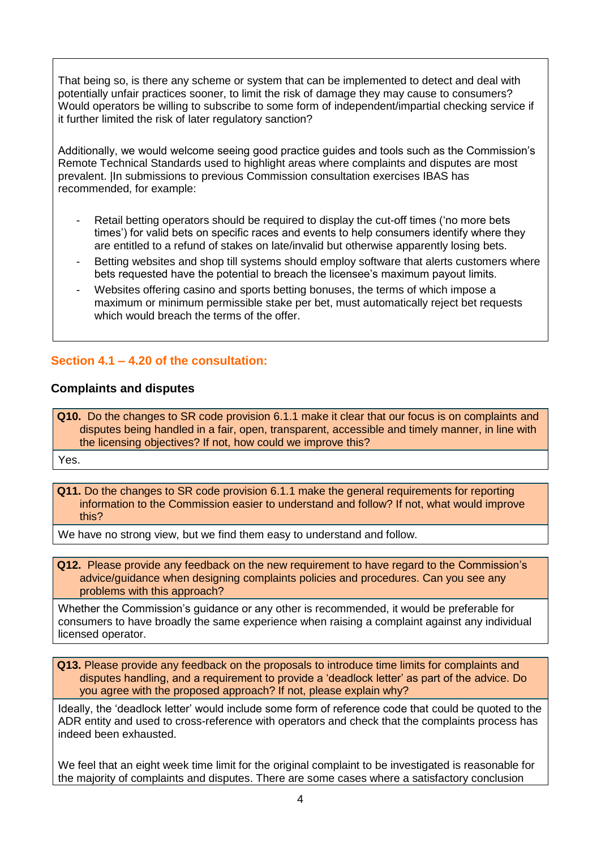That being so, is there any scheme or system that can be implemented to detect and deal with potentially unfair practices sooner, to limit the risk of damage they may cause to consumers? Would operators be willing to subscribe to some form of independent/impartial checking service if it further limited the risk of later regulatory sanction?

Additionally, we would welcome seeing good practice guides and tools such as the Commission's Remote Technical Standards used to highlight areas where complaints and disputes are most prevalent. |In submissions to previous Commission consultation exercises IBAS has recommended, for example:

- Retail betting operators should be required to display the cut-off times ('no more bets times') for valid bets on specific races and events to help consumers identify where they are entitled to a refund of stakes on late/invalid but otherwise apparently losing bets.
- Betting websites and shop till systems should employ software that alerts customers where bets requested have the potential to breach the licensee's maximum payout limits.
- Websites offering casino and sports betting bonuses, the terms of which impose a maximum or minimum permissible stake per bet, must automatically reject bet requests which would breach the terms of the offer.

# **Section 4.1 – 4.20 of the consultation:**

# **Complaints and disputes**

 **Q10.** Do the changes to SR code provision 6.1.1 make it clear that our focus is on complaints and disputes being handled in a fair, open, transparent, accessible and timely manner, in line with the licensing objectives? If not, how could we improve this?

Yes.

 **Q11.** Do the changes to SR code provision 6.1.1 make the general requirements for reporting information to the Commission easier to understand and follow? If not, what would improve this?

We have no strong view, but we find them easy to understand and follow.

 **Q12.** Please provide any feedback on the new requirement to have regard to the Commission's advice/guidance when designing complaints policies and procedures. Can you see any problems with this approach?

Whether the Commission's guidance or any other is recommended, it would be preferable for consumers to have broadly the same experience when raising a complaint against any individual licensed operator.

 **Q13.** Please provide any feedback on the proposals to introduce time limits for complaints and disputes handling, and a requirement to provide a 'deadlock letter' as part of the advice. Do you agree with the proposed approach? If not, please explain why?

Ideally, the 'deadlock letter' would include some form of reference code that could be quoted to the ADR entity and used to cross-reference with operators and check that the complaints process has indeed been exhausted.

We feel that an eight week time limit for the original complaint to be investigated is reasonable for the majority of complaints and disputes. There are some cases where a satisfactory conclusion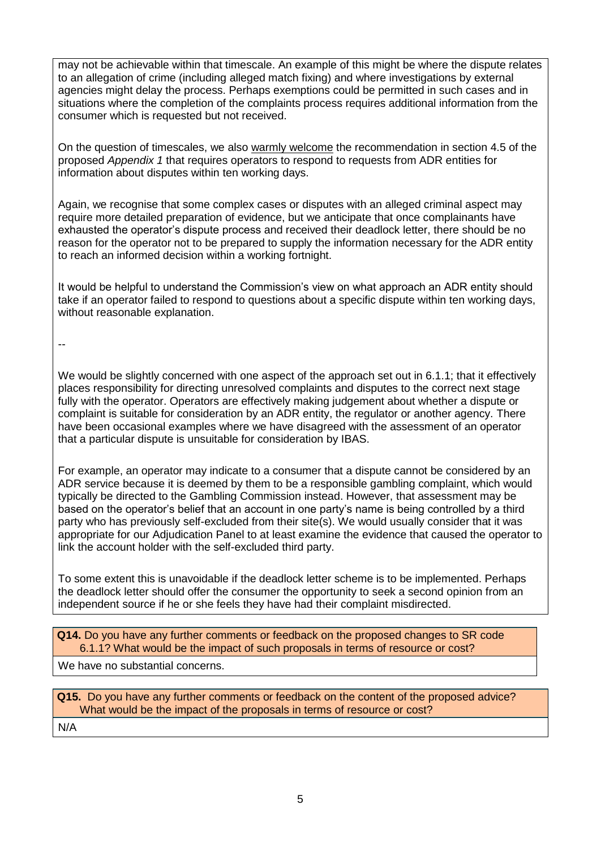may not be achievable within that timescale. An example of this might be where the dispute relates to an allegation of crime (including alleged match fixing) and where investigations by external agencies might delay the process. Perhaps exemptions could be permitted in such cases and in situations where the completion of the complaints process requires additional information from the consumer which is requested but not received.

On the question of timescales, we also warmly welcome the recommendation in section 4.5 of the proposed *Appendix 1* that requires operators to respond to requests from ADR entities for information about disputes within ten working days.

Again, we recognise that some complex cases or disputes with an alleged criminal aspect may require more detailed preparation of evidence, but we anticipate that once complainants have exhausted the operator's dispute process and received their deadlock letter, there should be no reason for the operator not to be prepared to supply the information necessary for the ADR entity to reach an informed decision within a working fortnight.

It would be helpful to understand the Commission's view on what approach an ADR entity should take if an operator failed to respond to questions about a specific dispute within ten working days, without reasonable explanation.

--

We would be slightly concerned with one aspect of the approach set out in 6.1.1; that it effectively places responsibility for directing unresolved complaints and disputes to the correct next stage fully with the operator. Operators are effectively making judgement about whether a dispute or complaint is suitable for consideration by an ADR entity, the regulator or another agency. There have been occasional examples where we have disagreed with the assessment of an operator that a particular dispute is unsuitable for consideration by IBAS.

For example, an operator may indicate to a consumer that a dispute cannot be considered by an ADR service because it is deemed by them to be a responsible gambling complaint, which would typically be directed to the Gambling Commission instead. However, that assessment may be based on the operator's belief that an account in one party's name is being controlled by a third party who has previously self-excluded from their site(s). We would usually consider that it was appropriate for our Adjudication Panel to at least examine the evidence that caused the operator to link the account holder with the self-excluded third party.

To some extent this is unavoidable if the deadlock letter scheme is to be implemented. Perhaps the deadlock letter should offer the consumer the opportunity to seek a second opinion from an independent source if he or she feels they have had their complaint misdirected.

 **Q14.** Do you have any further comments or feedback on the proposed changes to SR code 6.1.1? What would be the impact of such proposals in terms of resource or cost?

We have no substantial concerns.

 **Q15.** Do you have any further comments or feedback on the content of the proposed advice? What would be the impact of the proposals in terms of resource or cost? N/A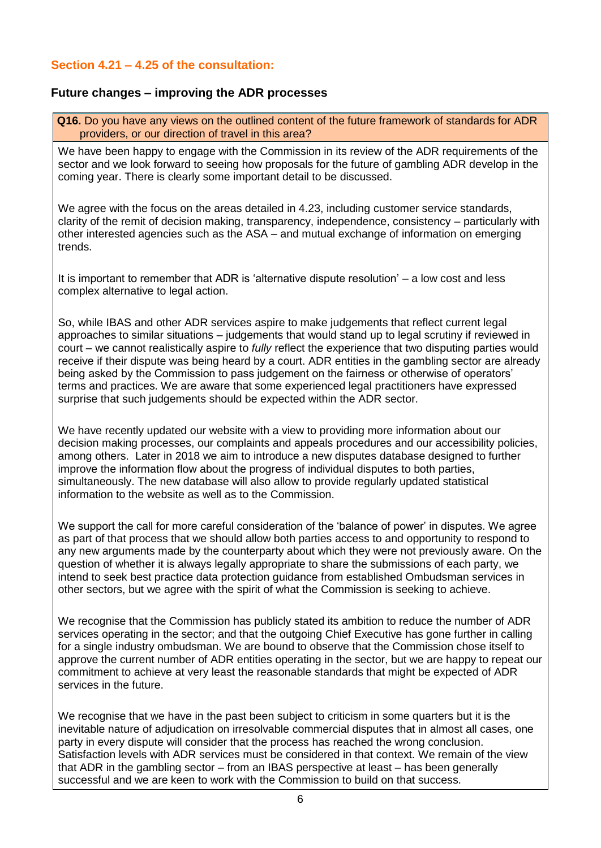# **Section 4.21 – 4.25 of the consultation:**

# **Future changes – improving the ADR processes**

 **Q16.** Do you have any views on the outlined content of the future framework of standards for ADR providers, or our direction of travel in this area?

We have been happy to engage with the Commission in its review of the ADR requirements of the sector and we look forward to seeing how proposals for the future of gambling ADR develop in the coming year. There is clearly some important detail to be discussed.

We agree with the focus on the areas detailed in 4.23, including customer service standards, clarity of the remit of decision making, transparency, independence, consistency – particularly with other interested agencies such as the ASA – and mutual exchange of information on emerging trends.

It is important to remember that ADR is 'alternative dispute resolution' – a low cost and less complex alternative to legal action.

So, while IBAS and other ADR services aspire to make judgements that reflect current legal approaches to similar situations – judgements that would stand up to legal scrutiny if reviewed in court – we cannot realistically aspire to *fully* reflect the experience that two disputing parties would receive if their dispute was being heard by a court. ADR entities in the gambling sector are already being asked by the Commission to pass judgement on the fairness or otherwise of operators' terms and practices. We are aware that some experienced legal practitioners have expressed surprise that such judgements should be expected within the ADR sector.

We have recently updated our website with a view to providing more information about our decision making processes, our complaints and appeals procedures and our accessibility policies, among others. Later in 2018 we aim to introduce a new disputes database designed to further improve the information flow about the progress of individual disputes to both parties, simultaneously. The new database will also allow to provide regularly updated statistical information to the website as well as to the Commission.

We support the call for more careful consideration of the 'balance of power' in disputes. We agree as part of that process that we should allow both parties access to and opportunity to respond to any new arguments made by the counterparty about which they were not previously aware. On the question of whether it is always legally appropriate to share the submissions of each party, we intend to seek best practice data protection guidance from established Ombudsman services in other sectors, but we agree with the spirit of what the Commission is seeking to achieve.

We recognise that the Commission has publicly stated its ambition to reduce the number of ADR services operating in the sector; and that the outgoing Chief Executive has gone further in calling for a single industry ombudsman. We are bound to observe that the Commission chose itself to approve the current number of ADR entities operating in the sector, but we are happy to repeat our commitment to achieve at very least the reasonable standards that might be expected of ADR services in the future.

We recognise that we have in the past been subject to criticism in some quarters but it is the inevitable nature of adjudication on irresolvable commercial disputes that in almost all cases, one party in every dispute will consider that the process has reached the wrong conclusion. Satisfaction levels with ADR services must be considered in that context. We remain of the view that ADR in the gambling sector – from an IBAS perspective at least – has been generally successful and we are keen to work with the Commission to build on that success.